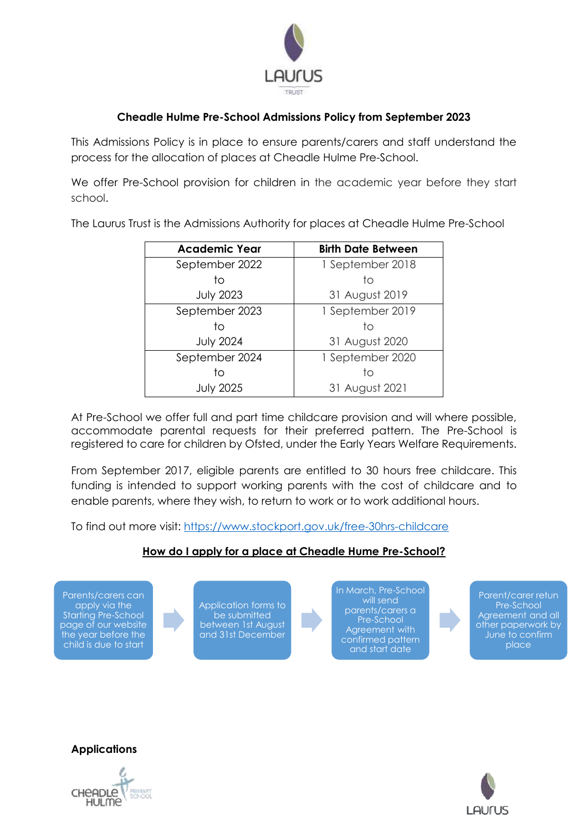

# **Cheadle Hulme Pre-School Admissions Policy from September 2023**

This Admissions Policy is in place to ensure parents/carers and staff understand the process for the allocation of places at Cheadle Hulme Pre-School.

We offer Pre-School provision for children in the academic year before they start school.

The Laurus Trust is the Admissions Authority for places at Cheadle Hulme Pre-School

| <b>Academic Year</b> | <b>Birth Date Between</b> |
|----------------------|---------------------------|
| September 2022       | 1 September 2018          |
| tο                   | tο                        |
| <b>July 2023</b>     | 31 August 2019            |
| September 2023       | 1 September 2019          |
| tο                   | tο                        |
| <b>July 2024</b>     | 31 August 2020            |
| September 2024       | 1 September 2020          |
| t٥                   | tο                        |
| <b>July 2025</b>     | 31 August 2021            |

At Pre-School we offer full and part time childcare provision and will where possible, accommodate parental requests for their preferred pattern. The Pre-School is registered to care for children by Ofsted, under the Early Years Welfare Requirements.

From September 2017, eligible parents are entitled to 30 hours free childcare. This funding is intended to support working parents with the cost of childcare and to enable parents, where they wish, to return to work or to work additional hours.

To find out more visit:<https://www.stockport.gov.uk/free-30hrs-childcare>

### **How do I apply for a place at Cheadle Hume Pre-School?**

Parents/carers can apply via the Starting Pre-School page of our website the year before the child is due to start



In March, Pre-School will send parents/carers a Pre-School Agreement with confirmed pattern and start date

Parent/carer retun Pre-School Agreement and all other paperwork by June to confirm place

AUrus